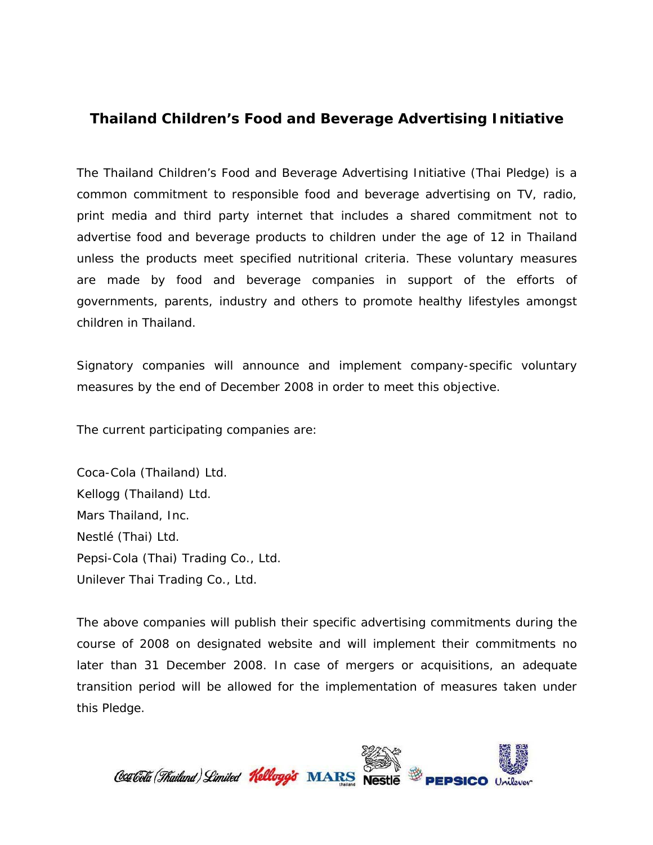## **Thailand Children's Food and Beverage Advertising Initiative**

The Thailand Children's Food and Beverage Advertising Initiative (Thai Pledge) is a common commitment to responsible food and beverage advertising on TV, radio, print media and third party internet that includes a shared commitment not to advertise food and beverage products to children under the age of 12 in Thailand unless the products meet specified nutritional criteria. These voluntary measures are made by food and beverage companies in support of the efforts of governments, parents, industry and others to promote healthy lifestyles amongst children in Thailand.

Signatory companies will announce and implement company-specific voluntary measures by the end of December 2008 in order to meet this objective.

The current participating companies are:

Coca-Cola (Thailand) Ltd. Kellogg (Thailand) Ltd. Mars Thailand, Inc. Nestlé (Thai) Ltd. Pepsi-Cola (Thai) Trading Co., Ltd. Unilever Thai Trading Co., Ltd.

The above companies will publish their specific advertising commitments during the course of 2008 on designated website and will implement their commitments no later than 31 December 2008. In case of mergers or acquisitions, an adequate transition period will be allowed for the implementation of measures taken under this Pledge.